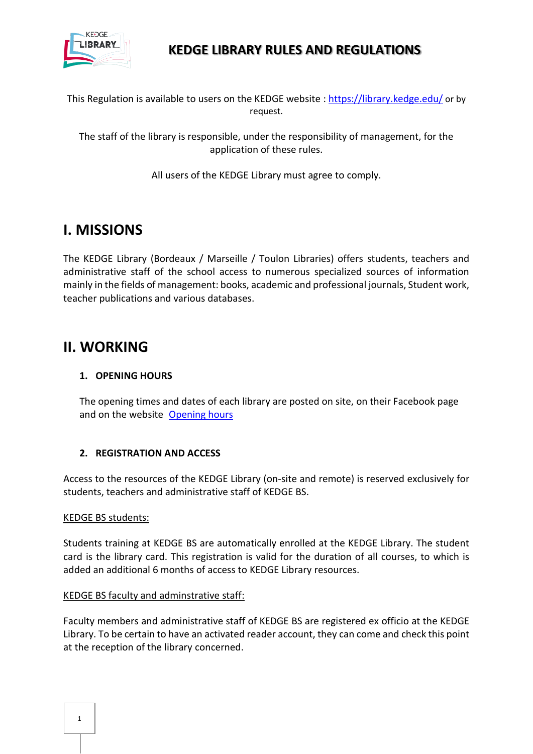

This Regulation is available to users on the KEDGE website :<https://library.kedge.edu/> or by request.

The staff of the library is responsible, under the responsibility of management, for the application of these rules.

All users of the KEDGE Library must agree to comply.

# **I. MISSIONS**

The KEDGE Library (Bordeaux / Marseille / Toulon Libraries) offers students, teachers and administrative staff of the school access to numerous specialized sources of information mainly in the fields of management: books, academic and professional journals, Student work, teacher publications and various databases.

# **II. WORKING**

## **1. OPENING HOURS**

The opening times and dates of each library are posted on site, on their Facebook page and on the website [Opening hours](https://library.kedge.edu/Default/horaires.aspx)

## **2. REGISTRATION AND ACCESS**

Access to the resources of the KEDGE Library (on-site and remote) is reserved exclusively for students, teachers and administrative staff of KEDGE BS.

## KEDGE BS students:

Students training at KEDGE BS are automatically enrolled at the KEDGE Library. The student card is the library card. This registration is valid for the duration of all courses, to which is added an additional 6 months of access to KEDGE Library resources.

## KEDGE BS faculty and adminstrative staff:

Faculty members and administrative staff of KEDGE BS are registered ex officio at the KEDGE Library. To be certain to have an activated reader account, they can come and check this point at the reception of the library concerned.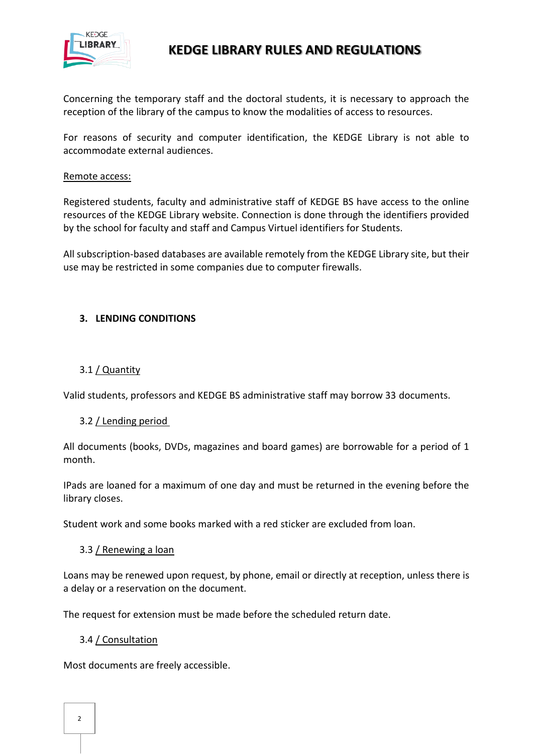

Concerning the temporary staff and the doctoral students, it is necessary to approach the reception of the library of the campus to know the modalities of access to resources.

For reasons of security and computer identification, the KEDGE Library is not able to accommodate external audiences.

#### Remote access:

Registered students, faculty and administrative staff of KEDGE BS have access to the online resources of the KEDGE Library website. Connection is done through the identifiers provided by the school for faculty and staff and Campus Virtuel identifiers for Students.

All subscription-based databases are available remotely from the KEDGE Library site, but their use may be restricted in some companies due to computer firewalls.

## **3. LENDING CONDITIONS**

#### 3.1 / Quantity

Valid students, professors and KEDGE BS administrative staff may borrow 33 documents.

#### 3.2 / Lending period

All documents (books, DVDs, magazines and board games) are borrowable for a period of 1 month.

IPads are loaned for a maximum of one day and must be returned in the evening before the library closes.

Student work and some books marked with a red sticker are excluded from loan.

#### 3.3 / Renewing a loan

Loans may be renewed upon request, by phone, email or directly at reception, unless there is a delay or a reservation on the document.

The request for extension must be made before the scheduled return date.

#### 3.4 / Consultation

Most documents are freely accessible.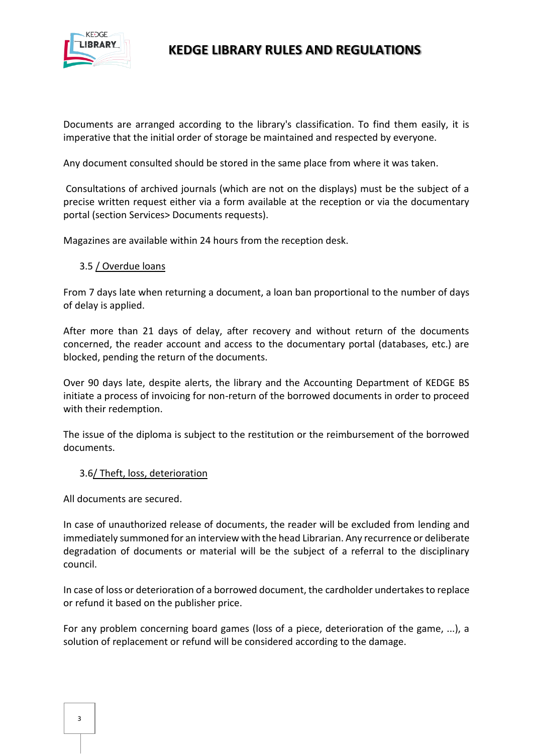

Documents are arranged according to the library's classification. To find them easily, it is imperative that the initial order of storage be maintained and respected by everyone.

Any document consulted should be stored in the same place from where it was taken.

Consultations of archived journals (which are not on the displays) must be the subject of a precise written request either via a form available at the reception or via the documentary portal (section Services> Documents requests).

Magazines are available within 24 hours from the reception desk.

#### 3.5 / Overdue loans

From 7 days late when returning a document, a loan ban proportional to the number of days of delay is applied.

After more than 21 days of delay, after recovery and without return of the documents concerned, the reader account and access to the documentary portal (databases, etc.) are blocked, pending the return of the documents.

Over 90 days late, despite alerts, the library and the Accounting Department of KEDGE BS initiate a process of invoicing for non-return of the borrowed documents in order to proceed with their redemption.

The issue of the diploma is subject to the restitution or the reimbursement of the borrowed documents.

#### 3.6/ Theft, loss, deterioration

All documents are secured.

In case of unauthorized release of documents, the reader will be excluded from lending and immediately summoned for an interview with the head Librarian. Any recurrence or deliberate degradation of documents or material will be the subject of a referral to the disciplinary council.

In case of loss or deterioration of a borrowed document, the cardholder undertakes to replace or refund it based on the publisher price.

For any problem concerning board games (loss of a piece, deterioration of the game, ...), a solution of replacement or refund will be considered according to the damage.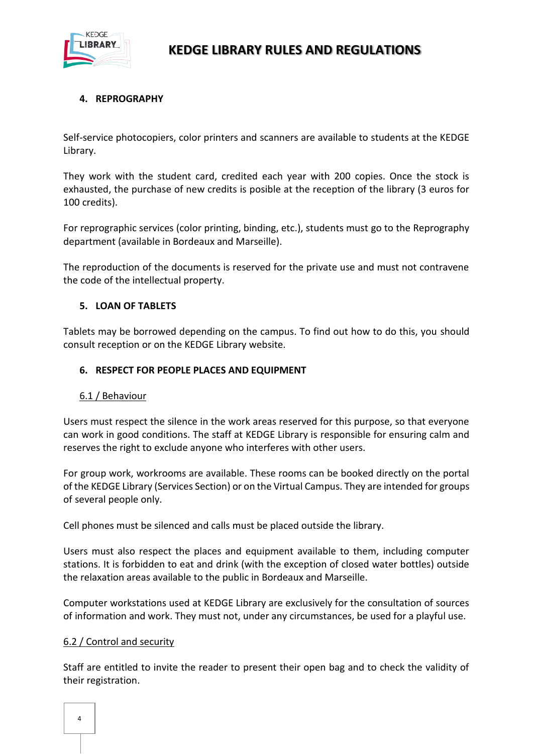

## **4. REPROGRAPHY**

Self-service photocopiers, color printers and scanners are available to students at the KEDGE Library.

They work with the student card, credited each year with 200 copies. Once the stock is exhausted, the purchase of new credits is posible at the reception of the library (3 euros for 100 credits).

For reprographic services (color printing, binding, etc.), students must go to the Reprography department (available in Bordeaux and Marseille).

The reproduction of the documents is reserved for the private use and must not contravene the code of the intellectual property.

## **5. LOAN OF TABLETS**

Tablets may be borrowed depending on the campus. To find out how to do this, you should consult reception or on the KEDGE Library website.

#### **6. RESPECT FOR PEOPLE PLACES AND EQUIPMENT**

#### 6.1 / Behaviour

Users must respect the silence in the work areas reserved for this purpose, so that everyone can work in good conditions. The staff at KEDGE Library is responsible for ensuring calm and reserves the right to exclude anyone who interferes with other users.

For group work, workrooms are available. These rooms can be booked directly on the portal of the KEDGE Library (Services Section) or on the Virtual Campus. They are intended for groups of several people only.

Cell phones must be silenced and calls must be placed outside the library.

Users must also respect the places and equipment available to them, including computer stations. It is forbidden to eat and drink (with the exception of closed water bottles) outside the relaxation areas available to the public in Bordeaux and Marseille.

Computer workstations used at KEDGE Library are exclusively for the consultation of sources of information and work. They must not, under any circumstances, be used for a playful use.

## 6.2 / Control and security

Staff are entitled to invite the reader to present their open bag and to check the validity of their registration.